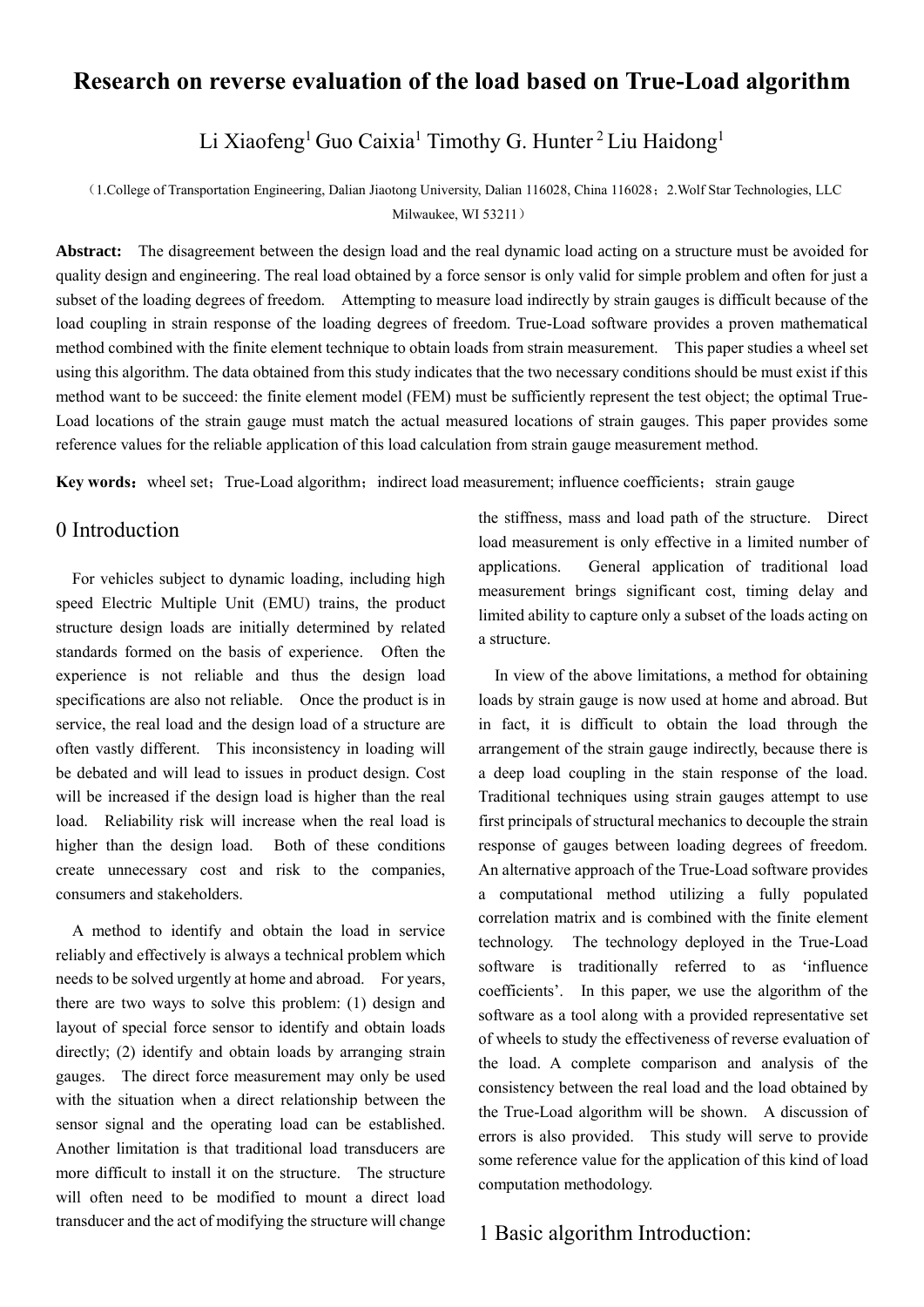# **Research on reverse evaluation of the load based on True-Load algorithm**

Li Xiaofeng<sup>1</sup> Guo Caixia<sup>1</sup> Timothy G. Hunter<sup>2</sup> Liu Haidong<sup>1</sup>

(1.College of Transportation Engineering, Dalian Jiaotong University, Dalian 116028, China 116028;2.Wolf Star Technologies, LLC Milwaukee, WI 53211)

**Abstract:** The disagreement between the design load and the real dynamic load acting on a structure must be avoided for quality design and engineering. The real load obtained by a force sensor is only valid for simple problem and often for just a subset of the loading degrees of freedom. Attempting to measure load indirectly by strain gauges is difficult because of the load coupling in strain response of the loading degrees of freedom. True-Load software provides a proven mathematical method combined with the finite element technique to obtain loads from strain measurement. This paper studies a wheel set using this algorithm. The data obtained from this study indicates that the two necessary conditions should be must exist if this method want to be succeed: the finite element model (FEM) must be sufficiently represent the test object; the optimal True-Load locations of the strain gauge must match the actual measured locations of strain gauges. This paper provides some reference values for the reliable application of this load calculation from strain gauge measurement method.

**Key words:** wheel set; True-Load algorithm; indirect load measurement; influence coefficients; strain gauge

## 0 Introduction

 For vehicles subject to dynamic loading, including high speed Electric Multiple Unit (EMU) trains, the product structure design loads are initially determined by related standards formed on the basis of experience. Often the experience is not reliable and thus the design load specifications are also not reliable. Once the product is in service, the real load and the design load of a structure are often vastly different. This inconsistency in loading will be debated and will lead to issues in product design. Cost will be increased if the design load is higher than the real load. Reliability risk will increase when the real load is higher than the design load. Both of these conditions create unnecessary cost and risk to the companies, consumers and stakeholders.

 A method to identify and obtain the load in service reliably and effectively is always a technical problem which needs to be solved urgently at home and abroad. For years, there are two ways to solve this problem: (1) design and layout of special force sensor to identify and obtain loads directly; (2) identify and obtain loads by arranging strain gauges. The direct force measurement may only be used with the situation when a direct relationship between the sensor signal and the operating load can be established. Another limitation is that traditional load transducers are more difficult to install it on the structure. The structure will often need to be modified to mount a direct load transducer and the act of modifying the structure will change the stiffness, mass and load path of the structure. Direct load measurement is only effective in a limited number of applications. General application of traditional load measurement brings significant cost, timing delay and limited ability to capture only a subset of the loads acting on a structure.

In view of the above limitations, a method for obtaining loads by strain gauge is now used at home and abroad. But in fact, it is difficult to obtain the load through the arrangement of the strain gauge indirectly, because there is a deep load coupling in the stain response of the load. Traditional techniques using strain gauges attempt to use first principals of structural mechanics to decouple the strain response of gauges between loading degrees of freedom. An alternative approach of the True-Load software provides a computational method utilizing a fully populated correlation matrix and is combined with the finite element technology. The technology deployed in the True-Load software is traditionally referred to as 'influence coefficients'. In this paper, we use the algorithm of the software as a tool along with a provided representative set of wheels to study the effectiveness of reverse evaluation of the load. A complete comparison and analysis of the consistency between the real load and the load obtained by the True-Load algorithm will be shown. A discussion of errors is also provided. This study will serve to provide some reference value for the application of this kind of load computation methodology.

### 1 Basic algorithm Introduction: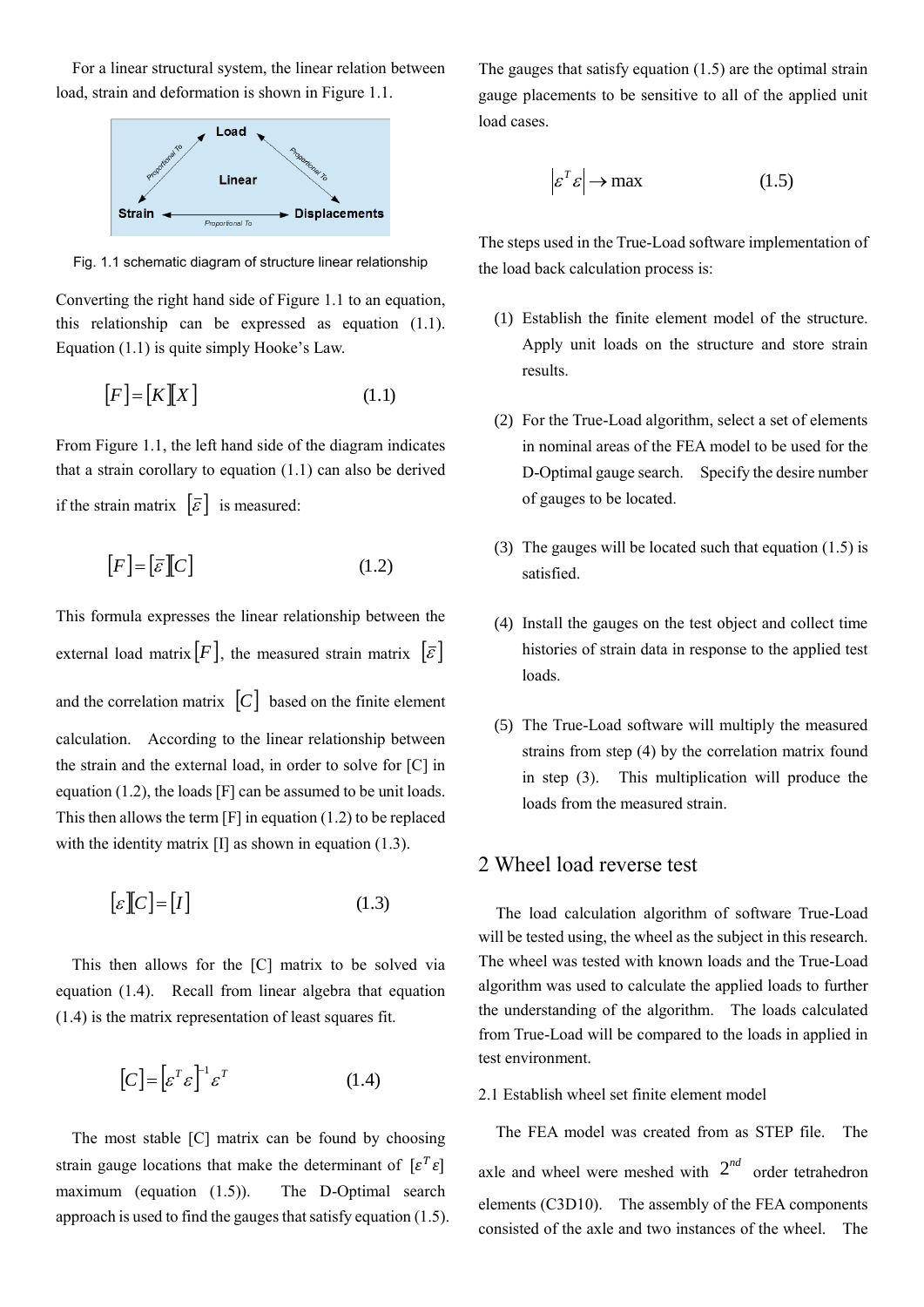For a linear structural system, the linear relation between load, strain and deformation is shown in Figure 1.1.



Fig. 1.1 schematic diagram of structure linear relationship

Converting the right hand side of Figure 1.1 to an equation, this relationship can be expressed as equation (1.1). Equation (1.1) is quite simply Hooke's Law.

$$
[F] = [K][X] \tag{1.1}
$$

From Figure 1.1, the left hand side of the diagram indicates that a strain corollary to equation (1.1) can also be derived if the strain matrix  $|\bar{\varepsilon}|$  is measured:

$$
[F] = [\bar{\varepsilon}][C] \tag{1.2}
$$

This formula expresses the linear relationship between the external load matrix  $|F|$ , the measured strain matrix  $|\bar{\varepsilon}|$ and the correlation matrix  $|C|$  based on the finite element calculation. According to the linear relationship between the strain and the external load, in order to solve for [C] in equation (1.2), the loads [F] can be assumed to be unit loads. This then allows the term [F] in equation (1.2) to be replaced with the identity matrix [I] as shown in equation (1.3).

$$
\[\varepsilon\]\[C\] = [I]\tag{1.3}
$$

 This then allows for the [C] matrix to be solved via equation (1.4). Recall from linear algebra that equation (1.4) is the matrix representation of least squares fit.

$$
[C] = [\varepsilon^T \varepsilon]^{-1} \varepsilon^T \tag{1.4}
$$

 The most stable [C] matrix can be found by choosing strain gauge locations that make the determinant of  $[\varepsilon^T \varepsilon]$ maximum (equation (1.5)). The D-Optimal search approach is used to find the gauges that satisfy equation  $(1.5)$ . The gauges that satisfy equation (1.5) are the optimal strain gauge placements to be sensitive to all of the applied unit load cases.

$$
\left| \varepsilon^T \varepsilon \right| \to \max \tag{1.5}
$$

The steps used in the True-Load software implementation of the load back calculation process is:

- (1) Establish the finite element model of the structure. Apply unit loads on the structure and store strain results.
- (2) For the True-Load algorithm, select a set of elements in nominal areas of the FEA model to be used for the D-Optimal gauge search. Specify the desire number of gauges to be located.
- (3) The gauges will be located such that equation (1.5) is satisfied.
- (4) Install the gauges on the test object and collect time histories of strain data in response to the applied test loads.
- (5) The True-Load software will multiply the measured strains from step (4) by the correlation matrix found in step (3). This multiplication will produce the loads from the measured strain.

### 2 Wheel load reverse test

The load calculation algorithm of software True-Load will be tested using, the wheel as the subject in this research. The wheel was tested with known loads and the True-Load algorithm was used to calculate the applied loads to further the understanding of the algorithm. The loads calculated from True-Load will be compared to the loads in applied in test environment.

### 2.1 Establish wheel set finite element model

The FEA model was created from as STEP file. The axle and wheel were meshed with  $2^{nd}$  order tetrahedron elements (C3D10). The assembly of the FEA components consisted of the axle and two instances of the wheel. The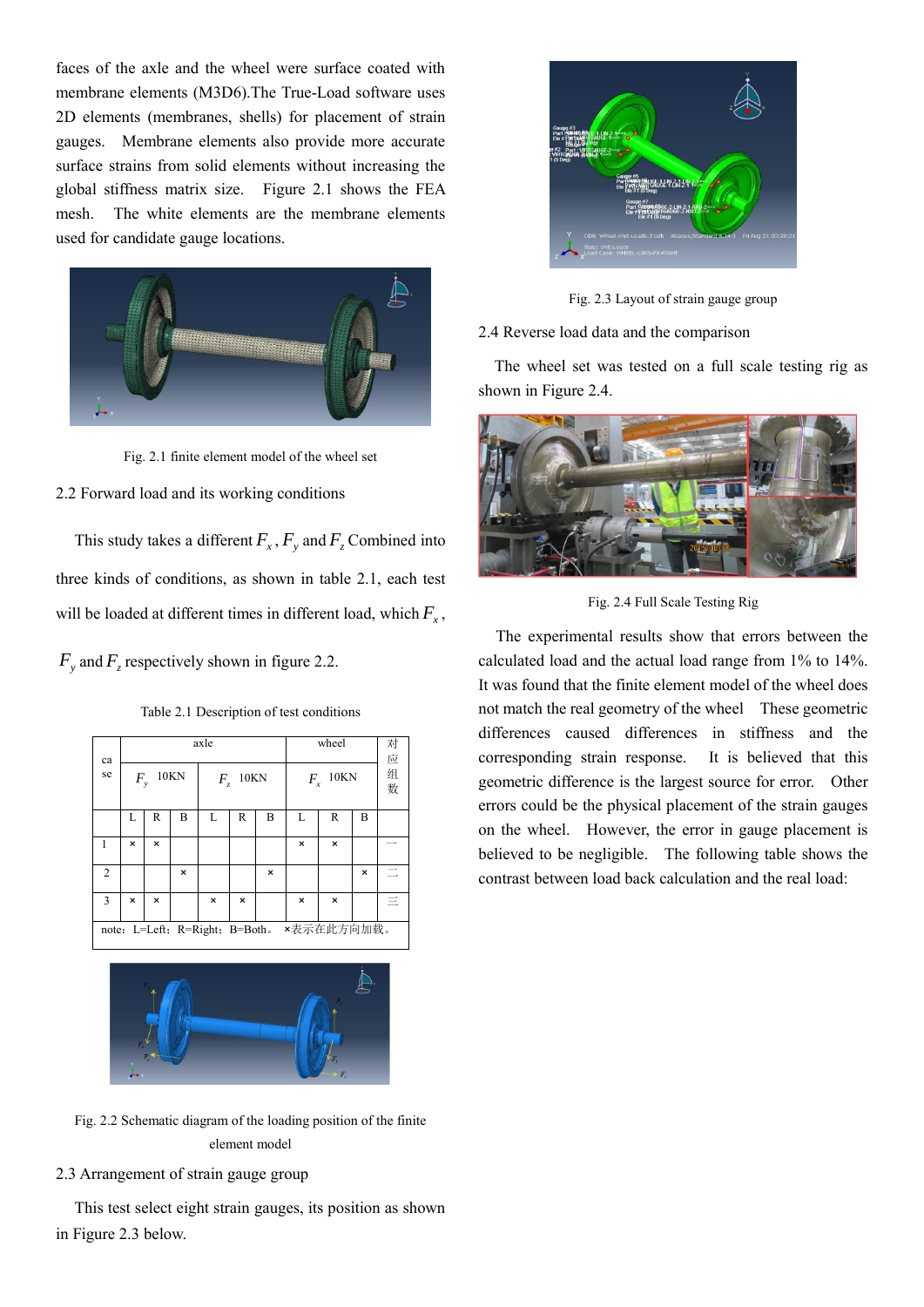faces of the axle and the wheel were surface coated with membrane elements (M3D6).The True-Load software uses 2D elements (membranes, shells) for placement of strain gauges. Membrane elements also provide more accurate surface strains from solid elements without increasing the global stiffness matrix size. Figure 2.1 shows the FEA mesh. The white elements are the membrane elements used for candidate gauge locations.



Fig. 2.1 finite element model of the wheel set

#### 2.2 Forward load and its working conditions

This study takes a different  $F_x$ ,  $F_y$  and  $F_z$  Combined into three kinds of conditions, as shown in table 2.1, each test will be loaded at different times in different load, which *Fx* ,

 $F_y$  and  $F_z$  respectively shown in figure 2.2.

Table 2.1 Description of test conditions

| ca             | axle                                         |   |             |       |      |   | wheel                  |          |   | 对应     |
|----------------|----------------------------------------------|---|-------------|-------|------|---|------------------------|----------|---|--------|
| se             | $F_{y}$                                      |   | <b>10KN</b> | $F_z$ | 10KN |   | <b>10KN</b><br>$F_{x}$ |          |   | 组<br>数 |
|                | L                                            | R | в           | L     | R    | В | L                      | R        | В |        |
| 1              | ×                                            | × |             |       |      |   | $\times$               | $\times$ |   |        |
| $\overline{c}$ |                                              |   | $\times$    |       |      | × |                        |          | × |        |
| 3              | ×                                            | × |             | ×     | ×    |   | $\times$               | $\times$ |   |        |
|                | ×表示在此方向加载。<br>note: L=Left; R=Right; B=Both. |   |             |       |      |   |                        |          |   |        |



Fig. 2.2 Schematic diagram of the loading position of the finite element model

2.3 Arrangement of strain gauge group

 This test select eight strain gauges, its position as shown in Figure 2.3 below.



Fig. 2.3 Layout of strain gauge group

#### 2.4 Reverse load data and the comparison

 The wheel set was tested on a full scale testing rig as shown in Figure 2.4.



Fig. 2.4 Full Scale Testing Rig

The experimental results show that errors between the calculated load and the actual load range from 1% to 14%. It was found that the finite element model of the wheel does not match the real geometry of the wheel These geometric differences caused differences in stiffness and the corresponding strain response. It is believed that this geometric difference is the largest source for error. Other errors could be the physical placement of the strain gauges on the wheel. However, the error in gauge placement is believed to be negligible. The following table shows the contrast between load back calculation and the real load: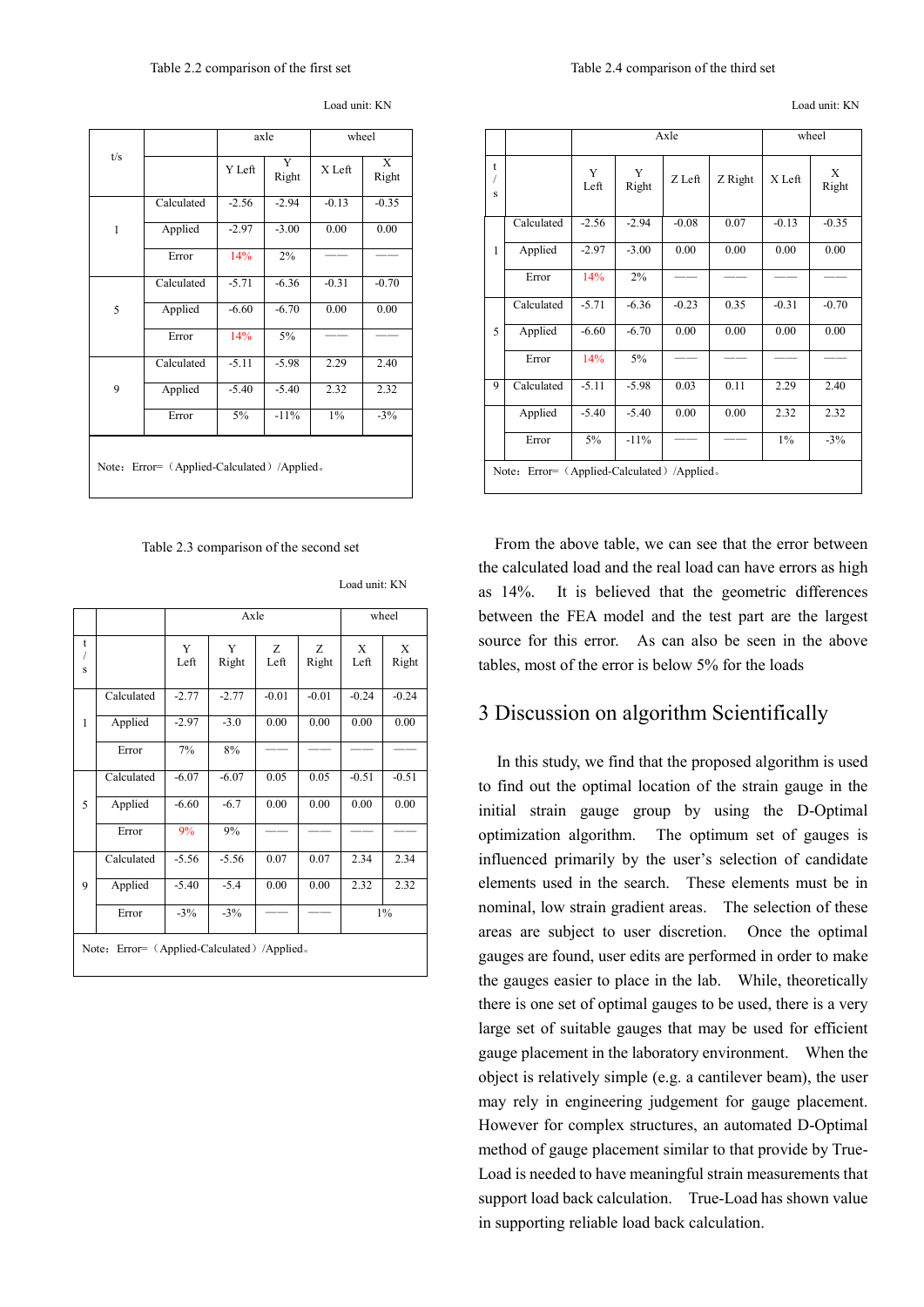|                                             |            | axle    |            | wheel   |            |  |  |
|---------------------------------------------|------------|---------|------------|---------|------------|--|--|
| t/s                                         |            | Y Left  | Y<br>Right | X Left  | X<br>Right |  |  |
|                                             | Calculated | $-2.56$ | $-2.94$    | $-0.13$ | $-0.35$    |  |  |
| $\mathbf{1}$                                | Applied    | $-2.97$ | $-3.00$    | 0.00    | 0.00       |  |  |
|                                             | Error      | 14%     | 2%         |         |            |  |  |
|                                             | Calculated | $-5.71$ | $-6.36$    | $-0.31$ | $-0.70$    |  |  |
| 5                                           | Applied    | $-6.60$ | $-6.70$    | 0.00    | 0.00       |  |  |
|                                             | Error      | 14%     | 5%         |         |            |  |  |
|                                             | Calculated | $-5.11$ | $-5.98$    | 2.29    | 2.40       |  |  |
| 9                                           | Applied    | $-5.40$ | $-5.40$    | 2.32    | 2.32       |  |  |
|                                             | Error      | 5%      | $-11%$     | $1\%$   | $-3%$      |  |  |
| Note: Error= (Applied-Calculated) /Applied. |            |         |            |         |            |  |  |

Load unit: KN

Table 2.3 comparison of the second set

Load unit: KN

|                                             |            |           | Axle       | wheel     |            |           |            |  |
|---------------------------------------------|------------|-----------|------------|-----------|------------|-----------|------------|--|
| t<br>1<br>S                                 |            | Y<br>Left | Y<br>Right | Z<br>Left | Ζ<br>Right | X<br>Left | X<br>Right |  |
|                                             | Calculated | $-2.77$   | $-2.77$    | $-0.01$   | $-0.01$    | $-0.24$   | $-0.24$    |  |
| 1                                           | Applied    | $-2.97$   | $-3.0$     | 0.00      | 0.00       | 0.00      | 0.00       |  |
|                                             | Error      | 7%        | 8%         |           |            |           |            |  |
|                                             | Calculated | $-6.07$   | $-6.07$    | 0.05      | 0.05       | $-0.51$   | $-0.51$    |  |
| 5                                           | Applied    | $-6.60$   | $-6.7$     | 0.00      | 0.00       | 0.00      | 0.00       |  |
|                                             | Error      | 9%        | 9%         |           |            |           |            |  |
|                                             | Calculated | $-5.56$   | $-5.56$    | 0.07      | 0.07       | 2.34      | 2.34       |  |
| 9                                           | Applied    | $-5.40$   | $-5.4$     | 0.00      | 0.00       | 2.32      | 2.32       |  |
|                                             | Error      | $-3%$     | $-3\%$     |           |            | 1%        |            |  |
| Note: Error= (Applied-Calculated) /Applied. |            |           |            |           |            |           |            |  |

Load unit: KN

|                                             |            |           | Axle       | wheel   |         |         |            |  |
|---------------------------------------------|------------|-----------|------------|---------|---------|---------|------------|--|
| t<br>1<br>S                                 |            | Y<br>Left | Y<br>Right | Z Left  | Z Right | X Left  | X<br>Right |  |
|                                             | Calculated | $-2.56$   | $-2.94$    | $-0.08$ | 0.07    | $-0.13$ | $-0.35$    |  |
| 1                                           | Applied    | $-2.97$   | $-3.00$    | 0.00    | 0.00    | 0.00    | 0.00       |  |
|                                             | Error      | 14%       | 2%         |         |         |         |            |  |
|                                             | Calculated | $-5.71$   | $-6.36$    | $-0.23$ | 0.35    | $-0.31$ | $-0.70$    |  |
| 5                                           | Applied    | $-6.60$   | $-6.70$    | 0.00    | 0.00    | 0.00    | 0.00       |  |
|                                             | Error      | 14%       | 5%         |         |         |         |            |  |
| 9                                           | Calculated | $-5.11$   | $-5.98$    | 0.03    | 0.11    | 2.29    | 2.40       |  |
|                                             | Applied    | $-5.40$   | $-5.40$    | 0.00    | 0.00    | 2.32    | 2.32       |  |
|                                             | Error      | $5\%$     | $-11%$     |         |         | 1%      | $-3%$      |  |
| Note: Error= (Applied-Calculated) /Applied. |            |           |            |         |         |         |            |  |

 From the above table, we can see that the error between the calculated load and the real load can have errors as high as 14%. It is believed that the geometric differences between the FEA model and the test part are the largest source for this error. As can also be seen in the above tables, most of the error is below 5% for the loads

### 3 Discussion on algorithm Scientifically

 In this study, we find that the proposed algorithm is used to find out the optimal location of the strain gauge in the initial strain gauge group by using the D-Optimal optimization algorithm. The optimum set of gauges is influenced primarily by the user's selection of candidate elements used in the search. These elements must be in nominal, low strain gradient areas. The selection of these areas are subject to user discretion. Once the optimal gauges are found, user edits are performed in order to make the gauges easier to place in the lab. While, theoretically there is one set of optimal gauges to be used, there is a very large set of suitable gauges that may be used for efficient gauge placement in the laboratory environment. When the object is relatively simple (e.g. a cantilever beam), the user may rely in engineering judgement for gauge placement. However for complex structures, an automated D-Optimal method of gauge placement similar to that provide by True-Load is needed to have meaningful strain measurements that support load back calculation. True-Load has shown value in supporting reliable load back calculation.